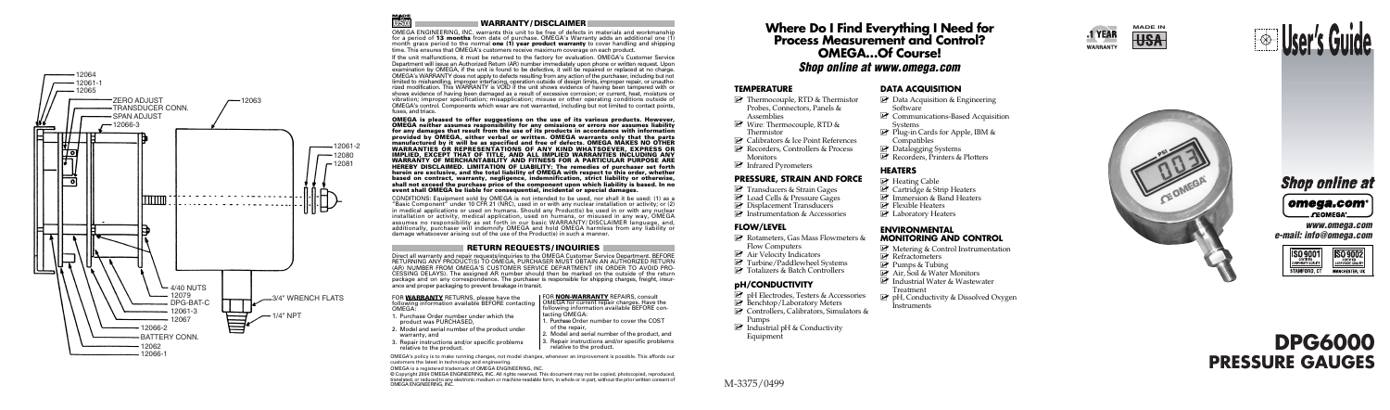# **DPG6000 PRESSURE GAUGES**

M-3375/0499



**MADE IN** 







 **www.omega.com e-mail: info@omega.com**







- warranty, and
- 3. Repair instructions and/or specific problems relative to the product.

| FOR WARRANTY RETURNS, please have the             | FOR NON-WARRANTY REPAIRS, consult              |
|---------------------------------------------------|------------------------------------------------|
| following information available BEFORE contacting | OMEGA for current repair charges. Have the     |
| OMEGA:                                            | following information available BEFORE con-    |
| 1. Purchase Order number under which the          | tacting OMEGA:                                 |
| product was PURCHASED.                            | 1. Purchase Order number to cover the COST     |
| 2. Model and serial number of the product under   | of the repair.                                 |
| warranty and                                      | 2. Model and serial number of the product, and |

3. Repair instructions and/or specific problems

relative to the product.

OMEGA's policy is to make running changes, not model changes, whenever an improvement is possible. This affords our customers the latest in technology and engineering.

OMEGA is a registered trademark of OMEGA ENGINEERING, INC.

© Copyright 2004 OMEGA ENGINEERING, INC. All rights reserved. This document may not be copied, photocopied, reproduced, translated, or reduced to any electronic medium or machine-readable form, in whole or in part, without the prior written consent of OMEGA ENGINEERING, INC.

# **WARRANTY/ DISCLAIMER**

微

OMEGA ENGINEERING, INC. warrants this unit to be free of defects in materials and workmanship for a period of **13 months** from date of purchase. OMEGA's Warranty adds an additional one (1) month grace period to the normal **one (1) year product warranty** to cover handling and shipping time. This ensures that OMEGA's customers receive maximum coverage on each product.

If the unit malfunctions, it must be returned to the factory for evaluation. OMEGA's Customer Service Department will issue an Authorized Return (AR) number immediately upon phone or written request. Upon examination by OMEGA, if the unit is found to be defective, it will be repaired or replaced at no charge. OMEGA's WARRANTY does not apply to defects resulting from any action of the purchaser, including but not limited to mishandling, improper interfacing, operation outside of design limits, improper repair, or unauthorized modification. This WARRANTY is VOID if the unit shows evidence of having been tampered with or shows evidence of having been damaged as a result of excessive corrosion; or current, heat, moisture or vibration; improper specification; misapplication; misuse or other operating conditions outside of OMEGA's control. Components which wear are not warranted, including but not limited to contact points, fuses, and triacs.

- Rotameters, Gas Mass Flowmeters &
	- Flow Computers
- $\blacktriangleright$  Air Velocity Indicators
- $\overrightarrow{P}$  Turbine/Paddlewheel Systems
- **■** Turbine/Paddlewheel Systems<br>■ Totalizers & Batch Controllers

**E** Industrial pH & Conductivity Equipment

**OMEGA is pleased to offer suggestions on the use of its various products. However, OMEGA neither assumes responsibility for any omissions or errors nor assumes liability** for any damages that result from the use of its products in accordance with information<br>provided by OMEGA, either verbal or written. OMEGA warrants only that the parts<br>manufactured by it will be as specified and free of de **WARRANTIES OR REPRESENTATIONS OF ANY KIND WHATSOEVER, EXPRESS OR IMPLIED, EXCEPT THAT OF TITLE, AND ALL IMPLIED WARRANTIES INCLUDING ANY WARRANTY OF MERCHANTABILITY AND FITNESS FOR A PARTICULAR PURPOSE ARE HEREBY DISCLAIMED. LIMITATION OF LIABILITY: The remedies of purchaser set forth herein are exclusive, and the total liability of OMEGA with respect to this order, whether based on contract, warranty, negligence, indemnification, strict liability or otherwise, shall not exceed the purchase price of the component upon which liability is based. In no event shall OMEGA be liable for consequential, incidental or special damages.**

CONDITIONS: Equipment sold by OMEGA is not intended to be used, nor shall it be used: (1) as a "Basic Component" under 10 CFR 21 (NRC), used in or with any nuclear installation or activity; or (2) in medical applications or used on humans. Should any Product(s) be used in or with any nuclear installation or activity, medical application, used on humans, or misused in any way, OMEGA assumes no responsibility as set forth in our basic WARRANTY/ DISCLAIMER language, and, additionally, purchaser will indemnify OMEGA and hold OMEGA harmless from any liability or damage whatsoever arising out of the use of the Product(s) in such a manner.

#### **RETURN REQUESTS/ INQUIRIES**

Direct all warranty and repair requests/inquiries to the OMEGA Customer Service Department. BEFORE (AR) NUMBER FROM OMEGA'S CUSTOMER SERVICE DEPARTMENT (IN ORDER TO AVOID PRO-CESSING DELAYS). The assigned AR number should then be marked on the outside of the return package and on any correspondence. The purchaser is responsible for shipping charges, freight, insurance and proper packaging to prevent breakage in transit.

# **Where Do I Find Everything I Need for Process Measurement and Control? OMEGA…Of Course! Shop online at www.omega.com**

#### **TEMPERATURE**

- **2** Thermocouple, RTD & Thermistor Probes, Connectors, Panels & Assemblies
- Wire: Thermocouple, RTD &
- Thermistor
- <sup>2</sup> Calibrators & Ice Point References
- ⊯ Calibrators & Ice Point References<br>■ Recorders, Controllers & Process
- Monitors
- **E** Infrared Pyrometers

#### **PRESSURE, STRAIN AND FORCE**

- Transducers & Strain Gages
- **Transference Cages** Load Cells & Pressure Gages
- $\mathbb F$  Displacement Transducers  $\mathbb F$  Displacement Transducers<br>  $\mathbb F$  Instrumentation & Accessories
- 

#### **FLOW/LEVEL**

#### **pH/CONDUCTIVITY**

- $\overrightarrow{P}$  pH Electrodes. Testers & Accessories
- $\mathbb{F}$  Benchtop/Laboratory Meters
- ⊯ Benchtop/Laboratory Meters<br>■ Controllers, Calibrators, Simulators &

Pumps

- **Z** Data Acquisition & Engineering **Software**
- **Z** Communications-Based Acquisition Systems
- Plug-in Cards for Apple, IBM &
- Compatibles
- Datalogging Systems
- ⊯ Datalogging Systems<br>■ Recorders, Printers & Plotters

#### **HEATERS**

- Heating Cable
- $\blacksquare$  Cartridge & Strip Heaters
- ⊯⊂ Cartridge & Strip Heaters<br>☞ Immersion & Band Heaters<br>☞ Flexible Heaters
- 
- ⊯ Flexible Heaters<br>⊯ Laboratory Heaters

#### **ENVIRONMENTAL MONITORING AND CONTROL**

- **■** Metering & Control Instrumentation<br>■ Refractometers
- $\mathbb{Z}$  Refractometers<br> $\mathbb{Z}$  Pumps & Tubing
- 
- Air, Soil & Water Monitors
- tar, Soil & Water Monitors<br>∟ Industrial Water & Wastewater
- Treatment
- pH, Conductivity & Dissolved Oxygen **Instruments**